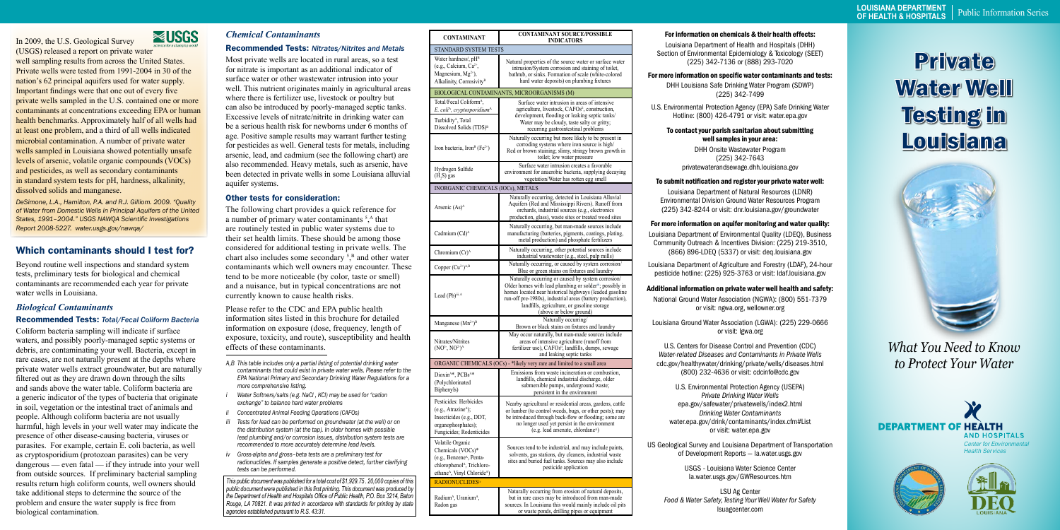# *Chemical Contaminants*

### Recommended Tests: *Nitrates/Nitrites and Metals*

Most private wells are located in rural areas, so a test for nitrate is important as an additional indicator of surface water or other wastewater intrusion into your well. This nutrient originates mainly in agricultural areas where there is fertilizer use, livestock or poultry but can also be introduced by poorly-managed septic tanks. Excessive levels of nitrate/nitrite in drinking water can be a serious health risk for newborns under 6 months of age. Positive sample results may warrant further testing for pesticides as well. General tests for metals, including arsenic, lead, and cadmium (see the following chart) are also recommended. Heavy metals, such as arsenic, have been detected in private wells in some Louisiana alluvial aquifer systems.

### Other tests for consideration:

# Private Water Well Testing in **Louisiana**



The following chart provides a quick reference for a number of primary water contaminants<sup>5</sup>,<sup>A</sup> that are routinely tested in public water systems due to their set health limits. These should be among those considered for additional testing in private wells. The chart also includes some secondary  $5$ <sup>B</sup> and other water contaminants which well owners may encounter. These tend to be more noticeable (by color, taste or smell) and a nuisance, but in typical concentrations are not currently known to cause health risks.

Please refer to the CDC and EPA public health information sites listed in this brochure for detailed information on exposure (dose, frequency, length of exposure, toxicity, and route), susceptibility and health effects of these contaminants.

*This public document was published for a total cost of \$1,929.75 . 20,000 copies of this public document were published in this first printing. This document was produced by the Department of Health and Hospitals Office of Public Health, P.O. Box 3214, Baton Rouge, LA 70821. It was printed in accordance with standards for printing by state agencies established pursuant to R.S. 43:31.* 

### For information on chemicals & their health effects:

Louisiana Department of Health and Hospitals (DHH) Section of Environmental Epidemiology & Toxicology (SEET) (225) 342-7136 or (888) 293-7020

### For more information on specific water contaminants and tests:

DHH Louisiana Safe Drinking Water Program (SDWP) (225) 342-7499

U.S. Environmental Protection Agency (EPA) Safe Drinking Water Hotline: (800) 426-4791 or visit: water.epa.gov

### To contact your parish sanitarian about submitting well samples in your area:

DHH Onsite Wastewater Program (225) 342-7643 privatewaterandsewage.dhh.louisiana.gov

### To submit notification and register your private water well:

Louisiana Department of Natural Resources (LDNR) Environmental Division Ground Water Resources Program (225) 342-8244 or visit: dnr.louisiana.gov/groundwater

### For more information on aquifer monitoring and water quality:

Louisiana Department of Environmental Quality (LDEQ), Business Community Outreach & Incentives Division: (225) 219-3510, (866) 896-LDEQ (5337) or visit: deq.louisiana.gov

Louisiana Department of Agriculture and Forestry (LDAF), 24-hour pesticide hotline: (225) 925-3763 or visit: ldaf.louisiana.gov

### Additional information on private water well health and safety:

National Ground Water Association (NGWA): (800) 551-7379 or visit: ngwa.org, wellowner.org

Louisiana Ground Water Association (LGWA): (225) 229-0666 or visit: lgwa.org

U.S. Centers for Disease Control and Prevention (CDC) *Water-related Diseases and Contaminants in Private Wells* cdc.gov/healthywater/drinking/private/wells/diseases.html (800) 232-4636 or visit: cdcinfo@cdc.gov

U.S. Environmental Protection Agency (USEPA) *Private Drinking Water Wells* epa.gov/safewater/privatewells/index2.html *Drinking Water Contaminants* water.epa.gov/drink/contaminants/index.cfm#List or visit: water.epa.gov

US Geological Survey and Louisiana Department of Transportation of Development Reports — la.water.usgs.gov

> USGS - Louisiana Water Science Center la.water.usgs.gov/GWResources.htm

LSU Ag Center *Food & Water Safety, Testing Your Well Water for Safety*  lsuagcenter.com

# Which contaminants should I test for?

Beyond routine well inspections and standard system tests, preliminary tests for biological and chemical contaminants are recommended each year for private water wells in Louisiana.

## *Biological Contaminants*

### Recommended Tests: *Total/Fecal Coliform Bacteria*

Coliform bacteria sampling will indicate if surface waters, and possibly poorly-managed septic systems or debris, are contaminating your well. Bacteria, except in rare cases, are not naturally present at the depths where private water wells extract groundwater, but are naturally filtered out as they are drawn down through the silts and sands above the water table. Coliform bacteria are a generic indicator of the types of bacteria that originate in soil, vegetation or the intestinal tract of animals and people. Although coliform bacteria are not usually harmful, high levels in your well water may indicate the presence of other disease-causing bacteria, viruses or parasites. For example, certain E. coli bacteria, as well as cryptosporidium (protozoan parasites) can be very dangerous — even fatal — if they intrude into your well from outside sources. If preliminary bacterial sampling results return high coliform counts, well owners should take additional steps to determine the source of the problem and ensure the water supply is free from biological contamination.

In 2009, the U.S. Geological Survey

(USGS) released a report on private water well sampling results from across the United States. Private wells were tested from 1991-2004 in 30 of the nation's 62 principal aquifers used for water supply. Important findings were that one out of every five private wells sampled in the U.S. contained one or more contaminants at concentrations exceeding EPA or human health benchmarks. Approximately half of all wells had at least one problem, and a third of all wells indicated microbial contamination. A number of private water wells sampled in Louisiana showed potentially unsafe levels of arsenic, volatile organic compounds (VOCs) and pesticides, as well as secondary contaminants in standard system tests for pH, hardness, alkalinity, dissolved solids and manganese.

**EXPUSES** 

*DeSimone, L.A., Hamilton, P.A. and R.J. Gilliom. 2009. "Quality of Water from Domestic Wells in Principal Aquifers of the United States, 1991–2004." USGS NAWQA Scientific Investigations Report 2008-5227. water.usgs.gov/nawqa/*

> *What You Need to Know to Protect Your Water*



| <b>CONTAMINANT</b>                                                                                                                                                             | <b>CONTAMINANT SOURCE/POSSIBLE</b><br><b>INDICATORS</b>                                                                                                                                                                                                                                                                        |
|--------------------------------------------------------------------------------------------------------------------------------------------------------------------------------|--------------------------------------------------------------------------------------------------------------------------------------------------------------------------------------------------------------------------------------------------------------------------------------------------------------------------------|
| STANDARD SYSTEM TESTS                                                                                                                                                          |                                                                                                                                                                                                                                                                                                                                |
| Water hardness <sup>i</sup> , pH <sup>B</sup><br>(e.g., Calcium, $Ca^{2+}$ ,<br>Magnesium, $Mg^{2+}$ ),<br>Alkalinity, Corrosivity <sup>B</sup>                                | Natural properties of the source water or surface water<br>intrusion/System corrosion and staining of toilet,<br>bathtub, or sinks. Formation of scale (white-colored<br>hard water deposits) on plumbing fixtures                                                                                                             |
| BIOLOGICAL CONTAMINANTS, MICROORGANISMS (M)                                                                                                                                    |                                                                                                                                                                                                                                                                                                                                |
| Total/Fecal Coliform <sup>A</sup> ,<br>E. coli <sup>A</sup> , cryptosporidium <sup>A</sup>                                                                                     | Surface water intrusion in areas of intensive<br>agriculture, livestock, CAFOs <sup>ii</sup> , construction,<br>development, flooding or leaking septic tanks/                                                                                                                                                                 |
| Turbidity <sup>A</sup> , Total<br>Dissolved Solids (TDS) <sup>B</sup>                                                                                                          | Water may be cloudy, taste salty or gritty;<br>recurring gastrointestinal problems                                                                                                                                                                                                                                             |
| Iron bacteria, Iron <sup>B</sup> (Fe <sup>2+</sup> )                                                                                                                           | Naturally occurring but more likely to be present in<br>corroding systems where iron source is high/<br>Red or brown staining; slimy, stringy brown growth in<br>toilet; low water pressure                                                                                                                                    |
| Hydrogen Sulfide<br>$(H, S)$ gas                                                                                                                                               | Surface water intrusion creates a favorable<br>environment for anaerobic bacteria, supplying decaying<br>vegetation/Water has rotten egg smell                                                                                                                                                                                 |
| INORGANIC CHEMICALS (IOCs), METALS                                                                                                                                             |                                                                                                                                                                                                                                                                                                                                |
| Arsenic $(As)^A$                                                                                                                                                               | Naturally occurring, detected in Louisiana Alluvial<br>Aquifers (Red and Mississippi Rivers). Runoff from<br>orchards, industrial sources (e.g., electronics<br>production, glass), waste sites or treated wood sites                                                                                                          |
| Cadmium (Cd) <sup>A</sup>                                                                                                                                                      | Naturally occurring, but man-made sources include<br>manufacturing (batteries, pigments, coatings, plating,<br>metal production) and phosphate fertilizers                                                                                                                                                                     |
| Chromium $(Cr)^A$                                                                                                                                                              | Naturally occurring, other potential sources include<br>industrial wastewater (e.g., steel, pulp mills)                                                                                                                                                                                                                        |
| Copper $(Cu^{2+})^{A,B}$                                                                                                                                                       | Naturally occurring, or caused by system corrosion/<br>Blue or green stains on fixtures and laundry                                                                                                                                                                                                                            |
| Lead (Pb)iii, A                                                                                                                                                                | Naturally occurring or caused by system corrosion/<br>Older homes with lead plumbing or solder <sup>iii</sup> , possibly in<br>homes located near historical highways (leaded gasoline<br>run-off pre-1980s), industrial areas (battery production),<br>landfills, agriculture, or gasoline storage<br>(above or below ground) |
| Manganese $(Mn^{2+})^B$                                                                                                                                                        | Naturally occurring/<br>Brown or black stains on fixtures and laundry                                                                                                                                                                                                                                                          |
| Nitrates/Nitrites<br>$(NO3, NO2)A$                                                                                                                                             | May occur naturally, but man-made sources include<br>areas of intensive agriculture (runoff from<br>fertilizer use), CAFOs <sup>ii</sup> , landfills, dumps, sewage<br>and leaking septic tanks                                                                                                                                |
| ORGANIC CHEMICALS (OCs) - *likely very rare and limited to a small area                                                                                                        |                                                                                                                                                                                                                                                                                                                                |
| Dioxin <sup>A*</sup> , PCBs <sup>A*</sup><br>(Polychlorinated<br>Biphenyls)                                                                                                    | Emissions from waste incineration or combustion.<br>landfills, chemical industrial discharge, older<br>submersible pumps, underground waste;<br>persistent in the environment                                                                                                                                                  |
| Pesticides: Herbicides<br>$(e.g., A\text{trazine}^A);$<br>Insecticides (e.g., DDT,<br>organophosphates);<br>Fungicides; Rodenticides                                           | Nearby agricultural or residential areas, gardens, cattle<br>or lumber (to control weeds, bugs, or other pests); may<br>be introduced through back-flow or flooding; some are<br>no longer used yet persist in the environment<br>(e.g. lead arsenate, chlordane <sup>A</sup> )                                                |
| Volatile Organic<br>Chemicals (VOCs)*<br>(e.g., Benzene <sup>A</sup> , Penta-<br>chlorophenol <sup>A</sup> , Trichloro-<br>ethane <sup>A</sup> , Vinyl Chloride <sup>A</sup> ) | Sources tend to be industrial, and may include paints,<br>solvents, gas stations, dry cleaners, industrial waste<br>sites and buried fuel tanks. Sources may also include<br>pesticide application                                                                                                                             |
| <b>RADIONUCLIDESiv</b>                                                                                                                                                         |                                                                                                                                                                                                                                                                                                                                |
| Radium <sup>A</sup> , Uranium <sup>A</sup> ,<br>Radon gas                                                                                                                      | Naturally occurring from erosion of natural deposits,<br>but in rare cases may be introduced from man-made<br>sources. In Louisiana this would mainly include oil pits<br>or waste ponds, drilling pipes or equipment                                                                                                          |

- *A,B This table includes only a partial listing of potential drinking water contaminants that could exist in private water wells. Please refer to the EPA National Primary and Secondary Drinking Water Regulations for a more comprehensive listing.*
- *i Water Softners/salts (e.g. NaCl , KCl) may be used for "cation exchange" to balance hard water problems*
- *ii Concentrated Animal Feeding Operations (CAFOs)*
- *iii Tests for lead can be performed on groundwater (at the well) or on the distribution system (at the tap). In older homes with possible lead plumbing and/or corrosion issues, distribution system tests are recommended to more accurately determine lead levels.*
- *iv Gross-alpha and gross–beta tests are a preliminary test for radionuclides. If samples generate a positive detect, further clarifying tests can be performed.*

Center for Environmental Health Services